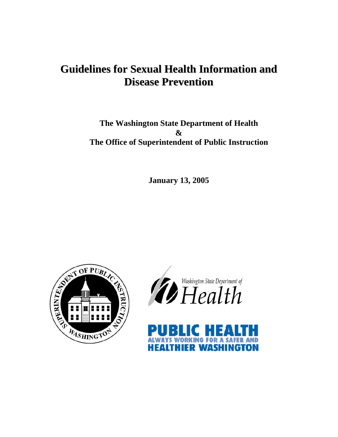# **Guidelines for Sexual Health Information and Disease Prevention**

**The Washington State Department of Health & The Office of Superintendent of Public Instruction** 

**January 13, 2005** 





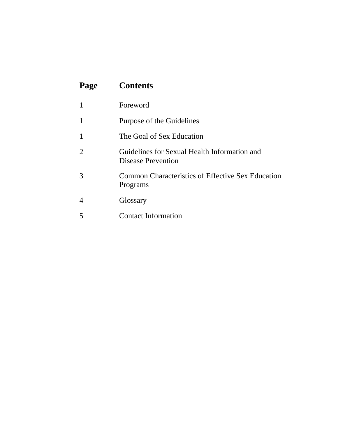| Page | <b>Contents</b>                                                           |
|------|---------------------------------------------------------------------------|
| 1    | Foreword                                                                  |
| 1    | Purpose of the Guidelines                                                 |
| 1    | The Goal of Sex Education                                                 |
| 2    | Guidelines for Sexual Health Information and<br><b>Disease Prevention</b> |
| 3    | Common Characteristics of Effective Sex Education<br>Programs             |
| 4    | Glossary                                                                  |
| 5    | <b>Contact Information</b>                                                |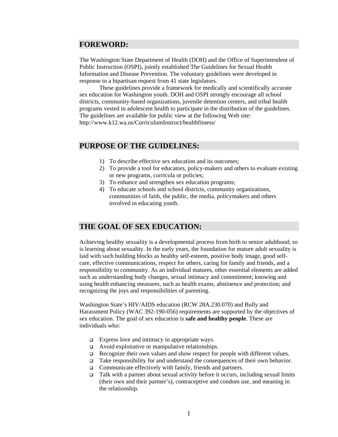#### **FOREWORD:**

The Washington State Department of Health (DOH) and the Office of Superintendent of Public Instruction (OSPI), jointly established The Guidelines for Sexual Health Information and Disease Prevention. The voluntary guidelines were developed in response to a bipartisan request from 41 state legislators.

These guidelines provide a framework for medically and scientifically accurate sex education for Washington youth. DOH and OSPI strongly encourage all school districts, community-based organizations, juvenile detention centers, and tribal health programs vested in adolescent health to participate in the distribution of the guidelines. The guidelines are available for public view at the following Web site: http://www.k12.wa.us/CurriculumInstruct/healthfitness/

## **PURPOSE OF THE GUIDELINES:**

- 1) To describe effective sex education and its outcomes;
- 2) To provide a tool for educators, policy-makers and others to evaluate existing or new programs, curricula or policies;
- 3) To enhance and strengthen sex education programs;
- 4) To educate schools and school districts, community organizations, communities of faith, the public, the media, policymakers and others involved in educating youth.

### **THE GOAL OF SEX EDUCATION:**

Achieving healthy sexuality is a developmental process from birth to senior adulthood; so is learning about sexuality. In the early years, the foundation for mature adult sexuality is laid with such building blocks as healthy self-esteem, positive body image, good selfcare, effective communications, respect for others, caring for family and friends, and a responsibility to community. As an individual matures, other essential elements are added such as understanding body changes, sexual intimacy and commitment; knowing and using health enhancing measures, such as health exams, abstinence and protection; and recognizing the joys and responsibilities of parenting.

Washington State's HIV/AIDS education (RCW 28A.230.070) and Bully and Harassment Policy (WAC 392-190-056) requirements are supported by the objectives of sex education. The goal of sex education is **safe and healthy people**. These are individuals who:

- $\Box$  Express love and intimacy in appropriate ways.
- $\Box$  Avoid exploitative or manipulative relationships.
- Recognize their own values and show respect for people with different values.
- $\Box$  Take responsibility for and understand the consequences of their own behavior.
- $\Box$  Communicate effectively with family, friends and partners.
- $\Box$  Talk with a partner about sexual activity before it occurs, including sexual limits (their own and their partner's), contraceptive and condom use, and meaning in the relationship.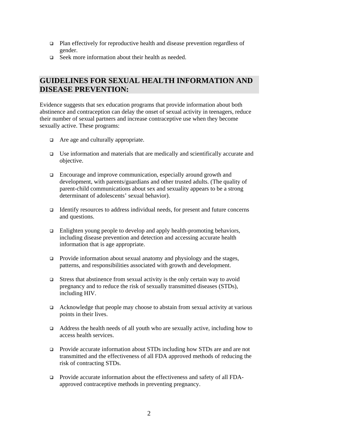- Plan effectively for reproductive health and disease prevention regardless of gender.
- $\Box$  Seek more information about their health as needed.

# **GUIDELINES FOR SEXUAL HEALTH INFORMATION AND DISEASE PREVENTION:**

Evidence suggests that sex education programs that provide information about both abstinence and contraception can delay the onset of sexual activity in teenagers, reduce their number of sexual partners and increase contraceptive use when they become sexually active. These programs:

- $\Box$  Are age and culturally appropriate.
- $\Box$  Use information and materials that are medically and scientifically accurate and objective.
- Encourage and improve communication, especially around growth and development, with parents/guardians and other trusted adults. (The quality of parent-child communications about sex and sexuality appears to be a strong determinant of adolescents' sexual behavior).
- $\Box$  Identify resources to address individual needs, for present and future concerns and questions.
- □ Enlighten young people to develop and apply health-promoting behaviors, including disease prevention and detection and accessing accurate health information that is age appropriate.
- $\Box$  Provide information about sexual anatomy and physiology and the stages, patterns, and responsibilities associated with growth and development.
- $\Box$  Stress that abstinence from sexual activity is the only certain way to avoid pregnancy and to reduce the risk of sexually transmitted diseases (STDs), including HIV.
- $\Box$  Acknowledge that people may choose to abstain from sexual activity at various points in their lives.
- $\Box$  Address the health needs of all youth who are sexually active, including how to access health services.
- □ Provide accurate information about STDs including how STDs are and are not transmitted and the effectiveness of all FDA approved methods of reducing the risk of contracting STDs.
- **Provide accurate information about the effectiveness and safety of all FDA**approved contraceptive methods in preventing pregnancy.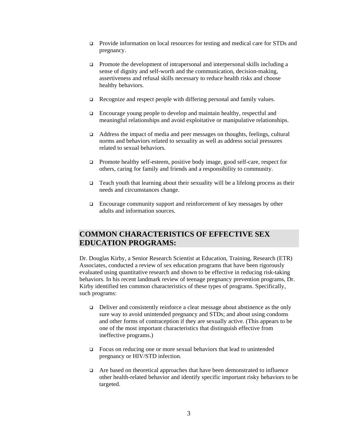- Provide information on local resources for testing and medical care for STDs and pregnancy.
- **Promote the development of intrapersonal and interpersonal skills including a** sense of dignity and self-worth and the communication, decision-making, assertiveness and refusal skills necessary to reduce health risks and choose healthy behaviors.
- $\Box$  Recognize and respect people with differing personal and family values.
- Encourage young people to develop and maintain healthy, respectful and meaningful relationships and avoid exploitative or manipulative relationships.
- Address the impact of media and peer messages on thoughts, feelings, cultural norms and behaviors related to sexuality as well as address social pressures related to sexual behaviors.
- Promote healthy self-esteem, positive body image, good self-care, respect for others, caring for family and friends and a responsibility to community.
- $\Box$  Teach youth that learning about their sexuality will be a lifelong process as their needs and circumstances change.
- $\Box$  Encourage community support and reinforcement of key messages by other adults and information sources.

# **COMMON CHARACTERISTICS OF EFFECTIVE SEX EDUCATION PROGRAMS:**

Dr. Douglas Kirby, a Senior Research Scientist at Education, Training, Research (ETR) Associates, conducted a review of sex education programs that have been rigorously evaluated using quantitative research and shown to be effective in reducing risk-taking behaviors. In his recent landmark review of teenage pregnancy prevention programs, Dr. Kirby identified ten common characteristics of these types of programs. Specifically, such programs:

- Deliver and consistently reinforce a clear message about abstinence as the only sure way to avoid unintended pregnancy and STDs; and about using condoms and other forms of contraception if they are sexually active. (This appears to be one of the most important characteristics that distinguish effective from ineffective programs.)
- $\Box$  Focus on reducing one or more sexual behaviors that lead to unintended pregnancy or HIV/STD infection.
- $\Box$  Are based on theoretical approaches that have been demonstrated to influence other health-related behavior and identify specific important risky behaviors to be targeted.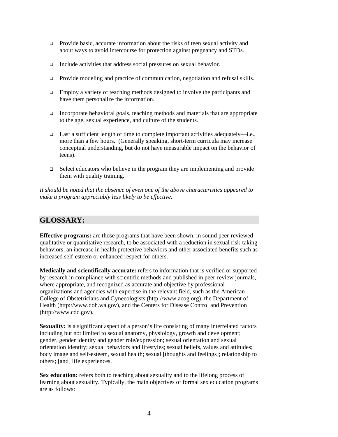- **Provide basic, accurate information about the risks of teen sexual activity and** about ways to avoid intercourse for protection against pregnancy and STDs.
- $\Box$  Include activities that address social pressures on sexual behavior.
- Provide modeling and practice of communication, negotiation and refusal skills.
- $\Box$  Employ a variety of teaching methods designed to involve the participants and have them personalize the information.
- Incorporate behavioral goals, teaching methods and materials that are appropriate to the age, sexual experience, and culture of the students.
- **Last a sufficient length of time to complete important activities adequately**—i.e., more than a few hours. (Generally speaking, short-term curricula may increase conceptual understanding, but do not have measurable impact on the behavior of teens).
- $\Box$  Select educators who believe in the program they are implementing and provide them with quality training.

*It should be noted that the absence of even one of the above characteristics appeared to make a program appreciably less likely to be effective.* 

## **GLOSSARY:**

**Effective programs:** are those programs that have been shown, in sound peer-reviewed qualitative or quantitative research, to be associated with a reduction in sexual risk-taking behaviors, an increase in health protective behaviors and other associated benefits such as increased self-esteem or enhanced respect for others.

**Medically and scientifically accurate:** refers to information that is verified or supported by research in compliance with scientific methods and published in peer-review journals, where appropriate, and recognized as accurate and objective by professional organizations and agencies with expertise in the relevant field, such as the American College of Obstetricians and Gynecologists (http://www.acog.org), the Department of Health (http://www.doh.wa.gov), and the Centers for Disease Control and Prevention (http://www.cdc.gov).

**Sexuality:** is a significant aspect of a person's life consisting of many interrelated factors including but not limited to sexual anatomy, physiology, growth and development; gender, gender identity and gender role/expression; sexual orientation and sexual orientation identity; sexual behaviors and lifestyles; sexual beliefs, values and attitudes; body image and self-esteem, sexual health; sexual [thoughts and feelings]; relationship to others; [and] life experiences.

Sex education: refers both to teaching about sexuality and to the lifelong process of learning about sexuality. Typically, the main objectives of formal sex education programs are as follows: